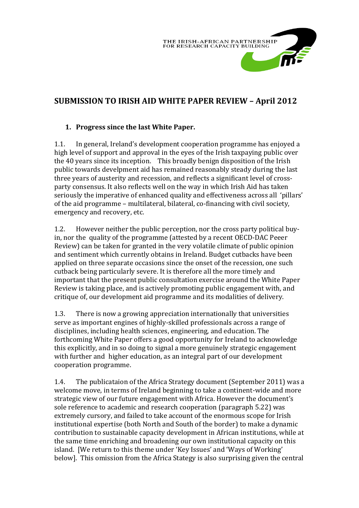

# **SUBMISSION TO IRISH AID WHITE PAPER REVIEW – April 2012**

#### **1. Progress since the last White Paper.**

1.1. In general, Ireland's development cooperation programme has enjoyed a high level of support and approval in the eyes of the Irish taxpaying public over the 40 years since its inception. This broadly benign disposition of the Irish public towards develpment aid has remained reasonably steady during the last three years of austerity and recession, and reflects a significant level of crossparty consensus. It also reflects well on the way in which Irish Aid has taken seriously the imperative of enhanced quality and effectiveness across all 'pillars' of the aid programme – multilateral, bilateral, co-financing with civil society, emergency and recovery, etc.

1.2. However neither the public perception, nor the cross party political buyin, nor the quality of the programme (attested by a recent OECD-DAC Peeer Review) can be taken for granted in the very volatile climate of public opinion and sentiment which currently obtains in Ireland. Budget cutbacks have been applied on three separate occasions since the onset of the recession, one such cutback being particularly severe. It is therefore all the more timely and important that the present public consultation exercise around the White Paper Review is taking place, and is actively promoting public engagement with, and critique of, our development aid programme and its modalities of delivery.

1.3. There is now a growing appreciation internationally that universities serve as important engines of highly-skilled professionals across a range of disciplines, including health sciences, engineering, and education. The forthcoming White Paper offers a good opportunity for Ireland to acknowledge this explicitly, and in so doing to signal a more genuinely strategic engagement with further and higher education, as an integral part of our development cooperation programme.

1.4. The publicataion of the Africa Strategy document (September 2011) was a welcome move, in terms of Ireland beginning to take a continent-wide and more strategic view of our future engagement with Africa. However the document's sole reference to academic and research cooperation (paragraph 5.22) was extremely cursory, and failed to take account of the enormous scope for Irish institutional expertise (both North and South of the border) to make a dynamic contribution to sustainable capacity development in African institutions, while at the same time enriching and broadening our own institutional capacity on this island. [We return to this theme under 'Key Issues' and 'Ways of Working' below]. This omission from the Africa Stategy is also surprising given the central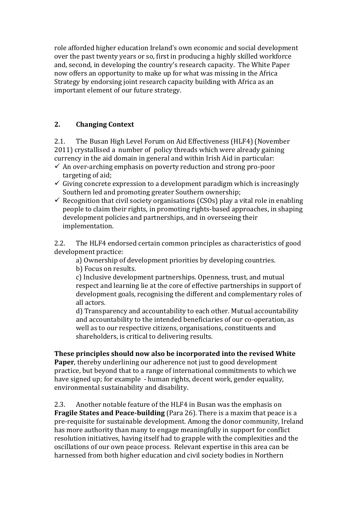role afforded higher education Ireland's own economic and social development over the past twenty years or so, first in producing a highly skilled workforce and, second, in developing the country's research capacity. The White Paper now offers an opportunity to make up for what was missing in the Africa Strategy by endorsing joint research capacity building with Africa as an important element of our future strategy.

# **2. Changing Context**

2.1. The Busan High Level Forum on Aid Effectiveness (HLF4) (November 2011) crystallised a number of policy threads which were already gaining currency in the aid domain in general and within Irish Aid in particular:

- $\checkmark$  An over-arching emphasis on poverty reduction and strong pro-poor targeting of aid;
- $\checkmark$  Giving concrete expression to a development paradigm which is increasingly Southern led and promoting greater Southern ownership;
- $\checkmark$  Recognition that civil society organisations (CSOs) play a vital role in enabling people to claim their rights, in promoting rights‐based approaches, in shaping development policies and partnerships, and in overseeing their implementation.

2.2. The HLF4 endorsed certain common principles as characteristics of good development practice:

a) Ownership of development priorities by developing countries.

b) Focus on results.

c) Inclusive development partnerships. Openness, trust, and mutual respect and learning lie at the core of effective partnerships in support of development goals, recognising the different and complementary roles of all actors.

d) Transparency and accountability to each other. Mutual accountability and accountability to the intended beneficiaries of our co-operation, as well as to our respective citizens, organisations, constituents and shareholders, is critical to delivering results.

**These principles should now also be incorporated into the revised White Paper**, thereby underlining our adherence not just to good development practice, but beyond that to a range of international commitments to which we have signed up; for example - human rights, decent work, gender equality, environmental sustainability and disability.

2.3. Another notable feature of the HLF4 in Busan was the emphasis on **Fragile States and Peace-building** (Para 26). There is a maxim that peace is a pre-requisite for sustainable development. Among the donor community, Ireland has more authority than many to engage meaningfully in support for conflict resolution initiatives, having itself had to grapple with the complexities and the oscillations of our own peace process. Relevant expertise in this area can be harnessed from both higher education and civil society bodies in Northern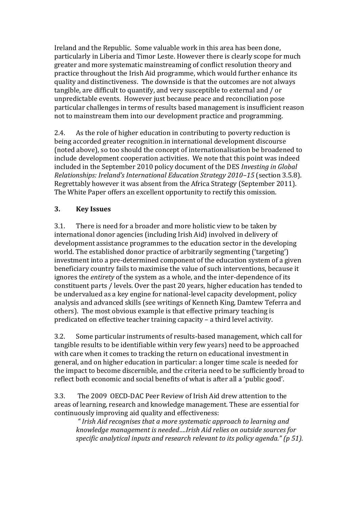Ireland and the Republic. Some valuable work in this area has been done, particularly in Liberia and Timor Leste. However there is clearly scope for much greater and more systematic mainstreaming of conflict resolution theory and practice throughout the Irish Aid programme, which would further enhance its quality and distinctiveness. The downside is that the outcomes are not always tangible, are difficult to quantify, and very susceptible to external and / or unpredictable events. However just because peace and reconciliation pose particular challenges in terms of results based management is insufficient reason not to mainstream them into our development practice and programming.

2.4. As the role of higher education in contributing to poverty reduction is being accorded greater recognition.in international development discourse (noted above), so too should the concept of internationalisation be broadened to include development cooperation activities. We note that this point was indeed included in the September 2010 policy document of the DES *Investing in Global Relationships: Ireland's International Education Strategy 2010–15* (section 3.5.8). Regrettably however it was absent from the Africa Strategy (September 2011). The White Paper offers an excellent opportunity to rectify this omission.

## **3. Key Issues**

3.1. There is need for a broader and more holistic view to be taken by international donor agencies (including Irish Aid) involved in delivery of development assistance programmes to the education sector in the developing world. The established donor practice of arbitrarily segmenting ('targeting') investment into a pre-determined component of the education system of a given beneficiary country fails to maximise the value of such interventions, because it ignores the *entirety* of the system as a whole, and the inter-dependence of its constituent parts / levels. Over the past 20 years, higher education has tended to be undervalued as a key engine for national-level capacity development, policy analysis and advanced skills (see writings of Kenneth King, Damtew Teferra and others). The most obvious example is that effective primary teaching is predicated on effective teacher training capacity – a third level activity.

3.2. Some particular instruments of results-based management, which call for tangible results to be identifiable within very few years) need to be approached with care when it comes to tracking the return on educational investment in general, and on higher education in particular: a longer time scale is needed for the impact to become discernible, and the criteria need to be sufficiently broad to reflect both economic and social benefits of what is after all a 'public good'.

3.3. The 2009 OECD-DAC Peer Review of Irish Aid drew attention to the areas of learning, research and knowledge management. These are essential for continuously improving aid quality and effectiveness:

*" Irish Aid recognises that a more systematic approach to learning and knowledge management is needed….Irish Aid relies on outside sources for specific analytical inputs and research relevant to its policy agenda." (p 51).*